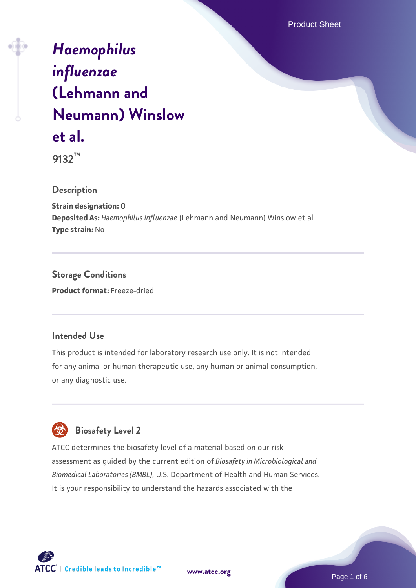Product Sheet

# *[Haemophilus](https://www.atcc.org/products/9132) [influenzae](https://www.atcc.org/products/9132)* **[\(Lehmann and](https://www.atcc.org/products/9132) [Neumann\) Winslow](https://www.atcc.org/products/9132) [et al.](https://www.atcc.org/products/9132)**

**9132™**

**Description**

**Strain designation:** O **Deposited As:** *Haemophilus influenzae* (Lehmann and Neumann) Winslow et al. **Type strain:** No

**Storage Conditions Product format:** Freeze-dried

## **Intended Use**

This product is intended for laboratory research use only. It is not intended for any animal or human therapeutic use, any human or animal consumption, or any diagnostic use.



ATCC determines the biosafety level of a material based on our risk assessment as guided by the current edition of *Biosafety in Microbiological and Biomedical Laboratories (BMBL)*, U.S. Department of Health and Human Services. It is your responsibility to understand the hazards associated with the



**[www.atcc.org](http://www.atcc.org)**

Page 1 of 6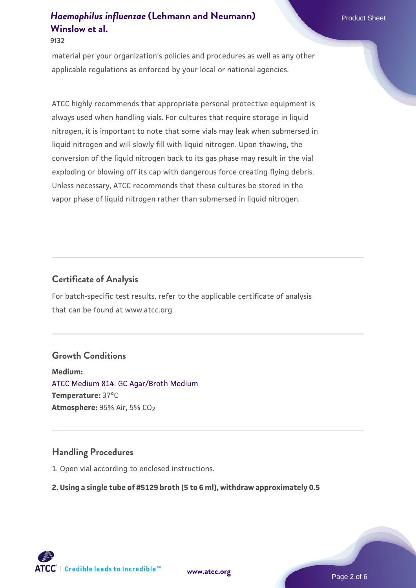#### **9132**

material per your organization's policies and procedures as well as any other applicable regulations as enforced by your local or national agencies.

ATCC highly recommends that appropriate personal protective equipment is always used when handling vials. For cultures that require storage in liquid nitrogen, it is important to note that some vials may leak when submersed in liquid nitrogen and will slowly fill with liquid nitrogen. Upon thawing, the conversion of the liquid nitrogen back to its gas phase may result in the vial exploding or blowing off its cap with dangerous force creating flying debris. Unless necessary, ATCC recommends that these cultures be stored in the vapor phase of liquid nitrogen rather than submersed in liquid nitrogen.

## **Certificate of Analysis**

For batch-specific test results, refer to the applicable certificate of analysis that can be found at www.atcc.org.

#### **Growth Conditions**

**Medium:**  [ATCC Medium 814: GC Agar/Broth Medium](https://www.atcc.org/-/media/product-assets/documents/microbial-media-formulations/8/1/4/atcc-medium-814.pdf?rev=35b7a8bd934e4c89ac299828e59c3922) **Temperature:** 37°C **Atmosphere: 95% Air, 5% CO<sub>2</sub>** 

#### **Handling Procedures**

1. Open vial according to enclosed instructions.

#### **2. Using a single tube of #5129 broth (5 to 6 ml), withdraw approximately 0.5**

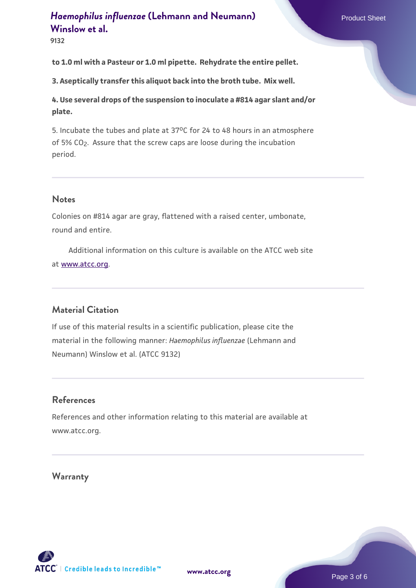**9132**

**to 1.0 ml with a Pasteur or 1.0 ml pipette. Rehydrate the entire pellet.**

**3. Aseptically transfer this aliquot back into the broth tube. Mix well.**

**4. Use several drops of the suspension to inoculate a #814 agar slant and/or plate.**

5. Incubate the tubes and plate at 37°C for 24 to 48 hours in an atmosphere of 5% CO<sub>2</sub>. Assure that the screw caps are loose during the incubation period.

#### **Notes**

Colonies on #814 agar are gray, flattened with a raised center, umbonate, round and entire.

 Additional information on this culture is available on the ATCC web site at [www.atcc.org.](http://www.atcc.org/)

## **Material Citation**

If use of this material results in a scientific publication, please cite the material in the following manner: *Haemophilus influenzae* (Lehmann and Neumann) Winslow et al. (ATCC 9132)

## **References**

References and other information relating to this material are available at www.atcc.org.

#### **Warranty**

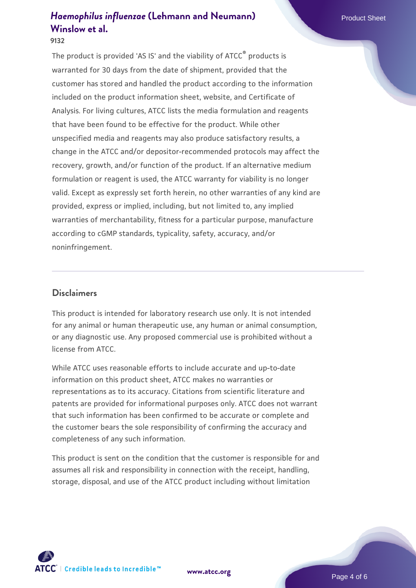#### **9132**

The product is provided 'AS IS' and the viability of ATCC® products is warranted for 30 days from the date of shipment, provided that the customer has stored and handled the product according to the information included on the product information sheet, website, and Certificate of Analysis. For living cultures, ATCC lists the media formulation and reagents that have been found to be effective for the product. While other unspecified media and reagents may also produce satisfactory results, a change in the ATCC and/or depositor-recommended protocols may affect the recovery, growth, and/or function of the product. If an alternative medium formulation or reagent is used, the ATCC warranty for viability is no longer valid. Except as expressly set forth herein, no other warranties of any kind are provided, express or implied, including, but not limited to, any implied warranties of merchantability, fitness for a particular purpose, manufacture according to cGMP standards, typicality, safety, accuracy, and/or noninfringement.

#### **Disclaimers**

This product is intended for laboratory research use only. It is not intended for any animal or human therapeutic use, any human or animal consumption, or any diagnostic use. Any proposed commercial use is prohibited without a license from ATCC.

While ATCC uses reasonable efforts to include accurate and up-to-date information on this product sheet, ATCC makes no warranties or representations as to its accuracy. Citations from scientific literature and patents are provided for informational purposes only. ATCC does not warrant that such information has been confirmed to be accurate or complete and the customer bears the sole responsibility of confirming the accuracy and completeness of any such information.

This product is sent on the condition that the customer is responsible for and assumes all risk and responsibility in connection with the receipt, handling, storage, disposal, and use of the ATCC product including without limitation



**[www.atcc.org](http://www.atcc.org)**

Page 4 of 6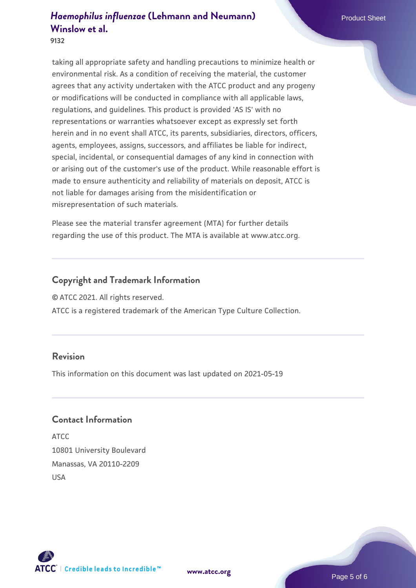**9132**

taking all appropriate safety and handling precautions to minimize health or environmental risk. As a condition of receiving the material, the customer agrees that any activity undertaken with the ATCC product and any progeny or modifications will be conducted in compliance with all applicable laws, regulations, and guidelines. This product is provided 'AS IS' with no representations or warranties whatsoever except as expressly set forth herein and in no event shall ATCC, its parents, subsidiaries, directors, officers, agents, employees, assigns, successors, and affiliates be liable for indirect, special, incidental, or consequential damages of any kind in connection with or arising out of the customer's use of the product. While reasonable effort is made to ensure authenticity and reliability of materials on deposit, ATCC is not liable for damages arising from the misidentification or misrepresentation of such materials.

Please see the material transfer agreement (MTA) for further details regarding the use of this product. The MTA is available at www.atcc.org.

## **Copyright and Trademark Information**

© ATCC 2021. All rights reserved.

ATCC is a registered trademark of the American Type Culture Collection.

#### **Revision**

This information on this document was last updated on 2021-05-19

#### **Contact Information**

ATCC 10801 University Boulevard Manassas, VA 20110-2209 USA